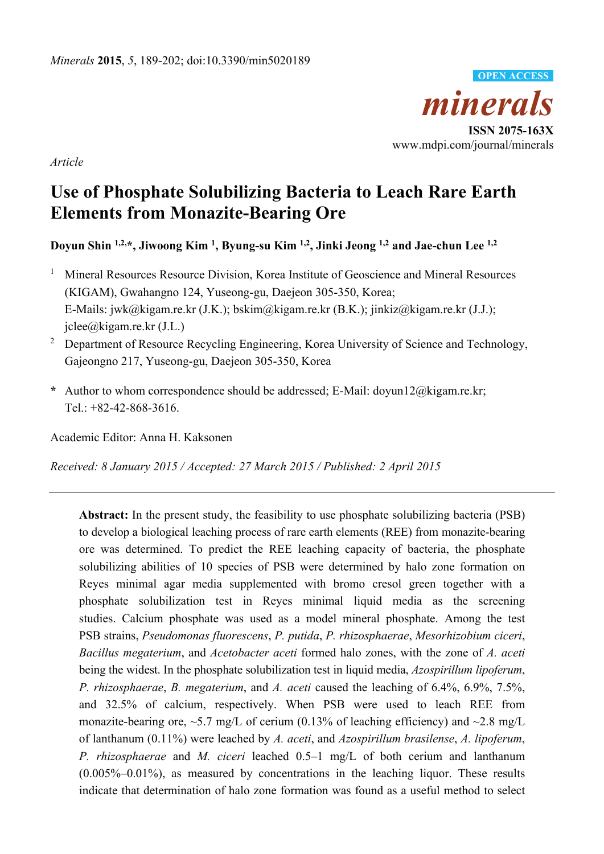

*Article* 

# **Use of Phosphate Solubilizing Bacteria to Leach Rare Earth Elements from Monazite-Bearing Ore**

**Doyun Shin 1,2,\*, Jiwoong Kim 1, Byung-su Kim 1,2, Jinki Jeong 1,2 and Jae-chun Lee 1,2**

- 1 Mineral Resources Resource Division, Korea Institute of Geoscience and Mineral Resources (KIGAM), Gwahangno 124, Yuseong-gu, Daejeon 305-350, Korea; E-Mails: jwk@kigam.re.kr (J.K.); bskim@kigam.re.kr (B.K.); jinkiz@kigam.re.kr (J.J.); jclee@kigam.re.kr (J.L.)
- 2 Department of Resource Recycling Engineering, Korea University of Science and Technology, Gajeongno 217, Yuseong-gu, Daejeon 305-350, Korea
- **\*** Author to whom correspondence should be addressed; E-Mail: doyun12@kigam.re.kr; Tel.: +82-42-868-3616.

Academic Editor: Anna H. Kaksonen

*Received: 8 January 2015 / Accepted: 27 March 2015 / Published: 2 April 2015* 

**Abstract:** In the present study, the feasibility to use phosphate solubilizing bacteria (PSB) to develop a biological leaching process of rare earth elements (REE) from monazite-bearing ore was determined. To predict the REE leaching capacity of bacteria, the phosphate solubilizing abilities of 10 species of PSB were determined by halo zone formation on Reyes minimal agar media supplemented with bromo cresol green together with a phosphate solubilization test in Reyes minimal liquid media as the screening studies. Calcium phosphate was used as a model mineral phosphate. Among the test PSB strains, *Pseudomonas fluorescens*, *P. putida*, *P. rhizosphaerae*, *Mesorhizobium ciceri*, *Bacillus megaterium*, and *Acetobacter aceti* formed halo zones, with the zone of *A. aceti* being the widest. In the phosphate solubilization test in liquid media, *Azospirillum lipoferum*, *P. rhizosphaerae*, *B. megaterium*, and *A. aceti* caused the leaching of 6.4%, 6.9%, 7.5%, and 32.5% of calcium, respectively. When PSB were used to leach REE from monazite-bearing ore,  $\sim$ 5.7 mg/L of cerium (0.13% of leaching efficiency) and  $\sim$ 2.8 mg/L of lanthanum (0.11%) were leached by *A. aceti*, and *Azospirillum brasilense*, *A. lipoferum*, *P. rhizosphaerae* and *M. ciceri* leached 0.5–1 mg/L of both cerium and lanthanum (0.005%–0.01%), as measured by concentrations in the leaching liquor. These results indicate that determination of halo zone formation was found as a useful method to select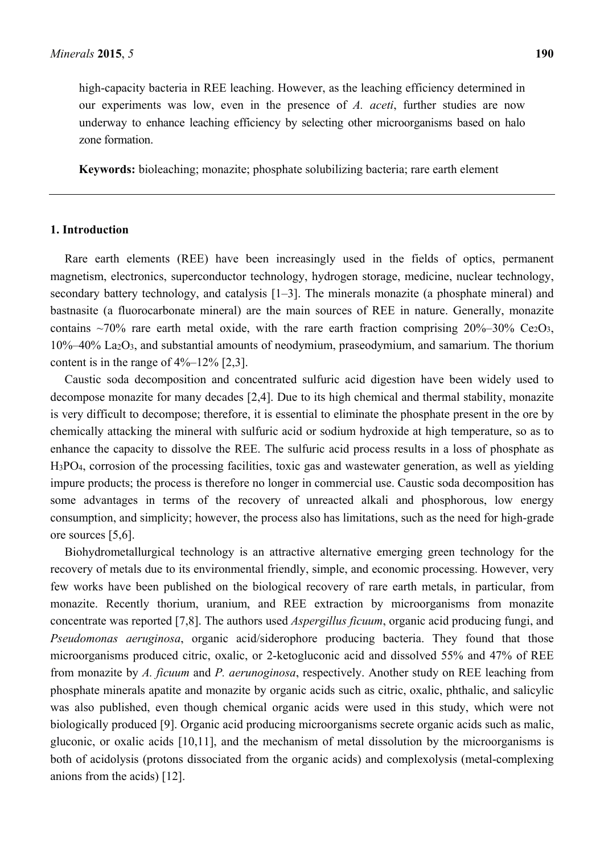high-capacity bacteria in REE leaching. However, as the leaching efficiency determined in our experiments was low, even in the presence of *A. aceti*, further studies are now underway to enhance leaching efficiency by selecting other microorganisms based on halo zone formation.

**Keywords:** bioleaching; monazite; phosphate solubilizing bacteria; rare earth element

## **1. Introduction**

Rare earth elements (REE) have been increasingly used in the fields of optics, permanent magnetism, electronics, superconductor technology, hydrogen storage, medicine, nuclear technology, secondary battery technology, and catalysis [1–3]. The minerals monazite (a phosphate mineral) and bastnasite (a fluorocarbonate mineral) are the main sources of REE in nature. Generally, monazite contains  $\sim$ 70% rare earth metal oxide, with the rare earth fraction comprising 20%–30% Ce<sub>2</sub>O<sub>3</sub>, 10%–40% La2O3, and substantial amounts of neodymium, praseodymium, and samarium. The thorium content is in the range of  $4\%-12\%$  [2,3].

Caustic soda decomposition and concentrated sulfuric acid digestion have been widely used to decompose monazite for many decades [2,4]. Due to its high chemical and thermal stability, monazite is very difficult to decompose; therefore, it is essential to eliminate the phosphate present in the ore by chemically attacking the mineral with sulfuric acid or sodium hydroxide at high temperature, so as to enhance the capacity to dissolve the REE. The sulfuric acid process results in a loss of phosphate as H3PO4, corrosion of the processing facilities, toxic gas and wastewater generation, as well as yielding impure products; the process is therefore no longer in commercial use. Caustic soda decomposition has some advantages in terms of the recovery of unreacted alkali and phosphorous, low energy consumption, and simplicity; however, the process also has limitations, such as the need for high-grade ore sources [5,6].

Biohydrometallurgical technology is an attractive alternative emerging green technology for the recovery of metals due to its environmental friendly, simple, and economic processing. However, very few works have been published on the biological recovery of rare earth metals, in particular, from monazite. Recently thorium, uranium, and REE extraction by microorganisms from monazite concentrate was reported [7,8]. The authors used *Aspergillus ficuum*, organic acid producing fungi, and *Pseudomonas aeruginosa*, organic acid/siderophore producing bacteria. They found that those microorganisms produced citric, oxalic, or 2-ketogluconic acid and dissolved 55% and 47% of REE from monazite by *A. ficuum* and *P. aerunoginosa*, respectively. Another study on REE leaching from phosphate minerals apatite and monazite by organic acids such as citric, oxalic, phthalic, and salicylic was also published, even though chemical organic acids were used in this study, which were not biologically produced [9]. Organic acid producing microorganisms secrete organic acids such as malic, gluconic, or oxalic acids [10,11], and the mechanism of metal dissolution by the microorganisms is both of acidolysis (protons dissociated from the organic acids) and complexolysis (metal-complexing anions from the acids) [12].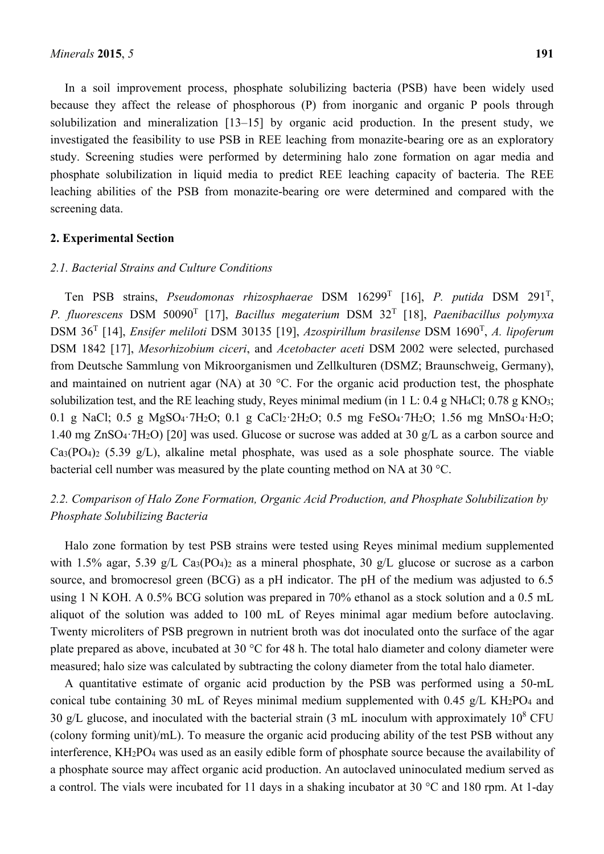In a soil improvement process, phosphate solubilizing bacteria (PSB) have been widely used because they affect the release of phosphorous (P) from inorganic and organic P pools through solubilization and mineralization [13–15] by organic acid production. In the present study, we investigated the feasibility to use PSB in REE leaching from monazite-bearing ore as an exploratory study. Screening studies were performed by determining halo zone formation on agar media and phosphate solubilization in liquid media to predict REE leaching capacity of bacteria. The REE leaching abilities of the PSB from monazite-bearing ore were determined and compared with the screening data.

#### **2. Experimental Section**

#### *2.1. Bacterial Strains and Culture Conditions*

Ten PSB strains, *Pseudomonas rhizosphaerae* DSM 16299T [16], *P. putida* DSM 291T, *P. fluorescens* DSM 50090T [17], *Bacillus megaterium* DSM 32T [18], *Paenibacillus polymyxa* DSM 36T [14], *Ensifer meliloti* DSM 30135 [19], *Azospirillum brasilense* DSM 1690T, *A. lipoferum*  DSM 1842 [17], *Mesorhizobium ciceri*, and *Acetobacter aceti* DSM 2002 were selected, purchased from Deutsche Sammlung von Mikroorganismen und Zellkulturen (DSMZ; Braunschweig, Germany), and maintained on nutrient agar (NA) at 30 °C. For the organic acid production test, the phosphate solubilization test, and the RE leaching study, Reyes minimal medium (in 1 L: 0.4 g NH<sub>4</sub>Cl; 0.78 g KNO<sub>3</sub>; 0.1 g NaCl; 0.5 g MgSO4·7H2O; 0.1 g CaCl2·2H2O; 0.5 mg FeSO4·7H2O; 1.56 mg MnSO4·H2O; 1.40 mg ZnSO4·7H2O) [20] was used. Glucose or sucrose was added at 30 g/L as a carbon source and Ca3(PO4)2 (5.39 g/L), alkaline metal phosphate, was used as a sole phosphate source. The viable bacterial cell number was measured by the plate counting method on NA at 30 °C.

# *2.2. Comparison of Halo Zone Formation, Organic Acid Production, and Phosphate Solubilization by Phosphate Solubilizing Bacteria*

Halo zone formation by test PSB strains were tested using Reyes minimal medium supplemented with 1.5% agar, 5.39 g/L Ca<sub>3</sub>(PO<sub>4</sub>)<sub>2</sub> as a mineral phosphate, 30 g/L glucose or sucrose as a carbon source, and bromocresol green (BCG) as a pH indicator. The pH of the medium was adjusted to 6.5 using 1 N KOH. A 0.5% BCG solution was prepared in 70% ethanol as a stock solution and a 0.5 mL aliquot of the solution was added to 100 mL of Reyes minimal agar medium before autoclaving. Twenty microliters of PSB pregrown in nutrient broth was dot inoculated onto the surface of the agar plate prepared as above, incubated at 30 °C for 48 h. The total halo diameter and colony diameter were measured; halo size was calculated by subtracting the colony diameter from the total halo diameter.

A quantitative estimate of organic acid production by the PSB was performed using a 50-mL conical tube containing 30 mL of Reyes minimal medium supplemented with 0.45 g/L KH<sub>2</sub>PO<sub>4</sub> and 30 g/L glucose, and inoculated with the bacterial strain  $(3 \text{ mL}$  inoculum with approximately  $10^8$  CFU (colony forming unit)/mL). To measure the organic acid producing ability of the test PSB without any interference, KH<sub>2</sub>PO<sub>4</sub> was used as an easily edible form of phosphate source because the availability of a phosphate source may affect organic acid production. An autoclaved uninoculated medium served as a control. The vials were incubated for 11 days in a shaking incubator at 30 °C and 180 rpm. At 1-day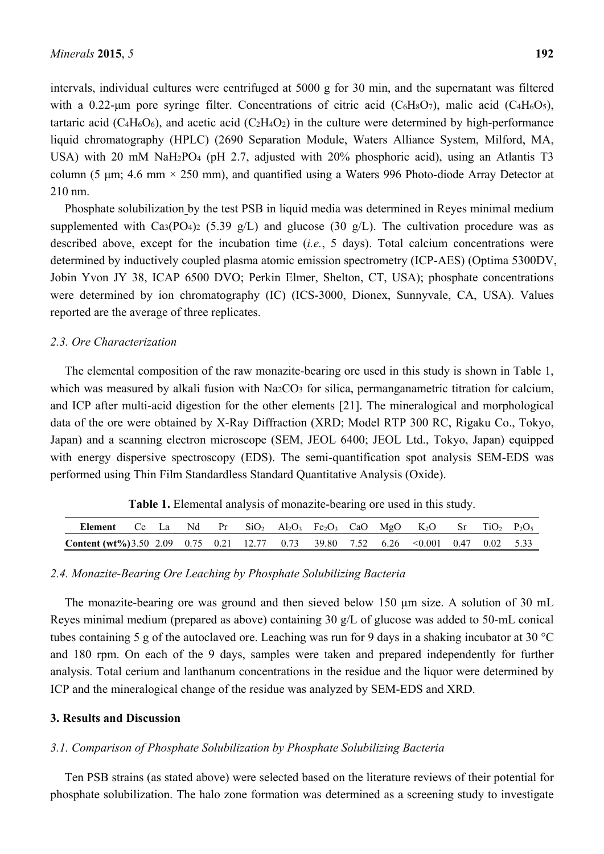intervals, individual cultures were centrifuged at 5000 g for 30 min, and the supernatant was filtered with a 0.22-µm pore syringe filter. Concentrations of citric acid  $(C_6H_8O_7)$ , malic acid  $(C_4H_6O_5)$ , tartaric acid ( $C_4H_6O_6$ ), and acetic acid ( $C_2H_4O_2$ ) in the culture were determined by high-performance liquid chromatography (HPLC) (2690 Separation Module, Waters Alliance System, Milford, MA, USA) with 20 mM NaH2PO4 (pH 2.7, adjusted with 20% phosphoric acid), using an Atlantis T3 column (5  $\mu$ m; 4.6 mm  $\times$  250 mm), and quantified using a Waters 996 Photo-diode Array Detector at 210 nm.

Phosphate solubilization by the test PSB in liquid media was determined in Reyes minimal medium supplemented with Ca<sub>3</sub>(PO<sub>4</sub>)<sub>2</sub> (5.39 g/L) and glucose (30 g/L). The cultivation procedure was as described above, except for the incubation time (*i.e.*, 5 days). Total calcium concentrations were determined by inductively coupled plasma atomic emission spectrometry (ICP-AES) (Optima 5300DV, Jobin Yvon JY 38, ICAP 6500 DVO; Perkin Elmer, Shelton, CT, USA); phosphate concentrations were determined by ion chromatography (IC) (ICS-3000, Dionex, Sunnyvale, CA, USA). Values reported are the average of three replicates.

#### *2.3. Ore Characterization*

The elemental composition of the raw monazite-bearing ore used in this study is shown in Table 1, which was measured by alkali fusion with Na<sub>2</sub>CO<sub>3</sub> for silica, permanganametric titration for calcium, and ICP after multi-acid digestion for the other elements [21]. The mineralogical and morphological data of the ore were obtained by X-Ray Diffraction (XRD; Model RTP 300 RC, Rigaku Co., Tokyo, Japan) and a scanning electron microscope (SEM, JEOL 6400; JEOL Ltd., Tokyo, Japan) equipped with energy dispersive spectroscopy (EDS). The semi-quantification spot analysis SEM-EDS was performed using Thin Film Standardless Standard Quantitative Analysis (Oxide).

**Table 1.** Elemental analysis of monazite-bearing ore used in this study.

| <b>Element</b> Ce La Nd Pr $SiO_2$ $Al_2O_3$ Fe <sub>2</sub> O <sub>3</sub> CaO MgO K <sub>2</sub> O Sr TiO <sub>2</sub> P <sub>2</sub> O <sub>5</sub> |  |  |  |  |  |  |  |
|--------------------------------------------------------------------------------------------------------------------------------------------------------|--|--|--|--|--|--|--|
| <b>Content (wt%)</b> 3.50 2.09 0.75 0.21 12.77 0.73 39.80 7.52 6.26 < 0.001 0.47 0.02 5.33                                                             |  |  |  |  |  |  |  |

## *2.4. Monazite-Bearing Ore Leaching by Phosphate Solubilizing Bacteria*

The monazite-bearing ore was ground and then sieved below 150 μm size. A solution of 30 mL Reyes minimal medium (prepared as above) containing 30 g/L of glucose was added to 50-mL conical tubes containing 5 g of the autoclaved ore. Leaching was run for 9 days in a shaking incubator at 30 °C and 180 rpm. On each of the 9 days, samples were taken and prepared independently for further analysis. Total cerium and lanthanum concentrations in the residue and the liquor were determined by ICP and the mineralogical change of the residue was analyzed by SEM-EDS and XRD.

# **3. Results and Discussion**

#### *3.1. Comparison of Phosphate Solubilization by Phosphate Solubilizing Bacteria*

Ten PSB strains (as stated above) were selected based on the literature reviews of their potential for phosphate solubilization. The halo zone formation was determined as a screening study to investigate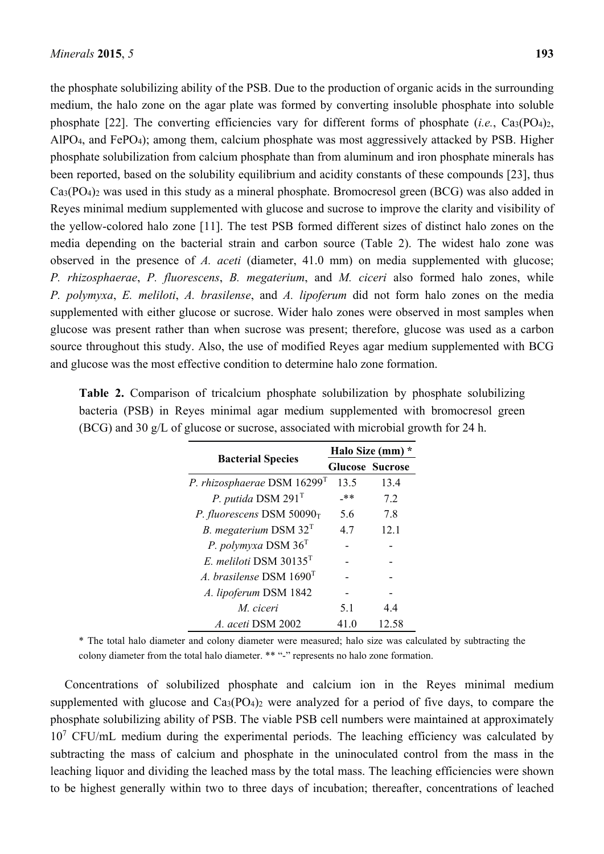the phosphate solubilizing ability of the PSB. Due to the production of organic acids in the surrounding medium, the halo zone on the agar plate was formed by converting insoluble phosphate into soluble phosphate [22]. The converting efficiencies vary for different forms of phosphate (*i.e.*, Ca3(PO4)2, AlPO4, and FePO4); among them, calcium phosphate was most aggressively attacked by PSB. Higher phosphate solubilization from calcium phosphate than from aluminum and iron phosphate minerals has been reported, based on the solubility equilibrium and acidity constants of these compounds [23], thus Ca3(PO4)2 was used in this study as a mineral phosphate. Bromocresol green (BCG) was also added in Reyes minimal medium supplemented with glucose and sucrose to improve the clarity and visibility of the yellow-colored halo zone [11]. The test PSB formed different sizes of distinct halo zones on the media depending on the bacterial strain and carbon source (Table 2). The widest halo zone was observed in the presence of *A. aceti* (diameter, 41.0 mm) on media supplemented with glucose; *P. rhizosphaerae*, *P. fluorescens*, *B. megaterium*, and *M. ciceri* also formed halo zones, while *P. polymyxa*, *E. meliloti*, *A. brasilense*, and *A. lipoferum* did not form halo zones on the media supplemented with either glucose or sucrose. Wider halo zones were observed in most samples when glucose was present rather than when sucrose was present; therefore, glucose was used as a carbon source throughout this study. Also, the use of modified Reyes agar medium supplemented with BCG and glucose was the most effective condition to determine halo zone formation.

**Table 2.** Comparison of tricalcium phosphate solubilization by phosphate solubilizing bacteria (PSB) in Reyes minimal agar medium supplemented with bromocresol green (BCG) and 30 g/L of glucose or sucrose, associated with microbial growth for 24 h.

|                               | Halo Size (mm) *       |       |  |  |  |  |
|-------------------------------|------------------------|-------|--|--|--|--|
| <b>Bacterial Species</b>      | <b>Glucose Sucrose</b> |       |  |  |  |  |
| P. rhizosphaerae DSM $16299T$ | 13.5                   | 13.4  |  |  |  |  |
| P. putida DSM $291T$          | _**                    | 7.2   |  |  |  |  |
| P. fluorescens DSM 50090 $T$  | 5.6                    | 7.8   |  |  |  |  |
| B. megaterium DSM $32^T$      | 4.7                    | 12.1  |  |  |  |  |
| P. polymyxa DSM $36^T$        |                        |       |  |  |  |  |
| E. meliloti DSM 30135 $T$     |                        |       |  |  |  |  |
| A. brasilense DSM $1690^T$    |                        |       |  |  |  |  |
| A. lipoferum DSM 1842         |                        |       |  |  |  |  |
| M ciceri                      | 5.1                    | 44    |  |  |  |  |
| <i>A. aceti</i> DSM 2002      | 41.0                   | 12.58 |  |  |  |  |

\* The total halo diameter and colony diameter were measured; halo size was calculated by subtracting the colony diameter from the total halo diameter. \*\* "-" represents no halo zone formation.

Concentrations of solubilized phosphate and calcium ion in the Reyes minimal medium supplemented with glucose and Ca3(PO4)2 were analyzed for a period of five days, to compare the phosphate solubilizing ability of PSB. The viable PSB cell numbers were maintained at approximately 10<sup>7</sup> CFU/mL medium during the experimental periods. The leaching efficiency was calculated by subtracting the mass of calcium and phosphate in the uninoculated control from the mass in the leaching liquor and dividing the leached mass by the total mass. The leaching efficiencies were shown to be highest generally within two to three days of incubation; thereafter, concentrations of leached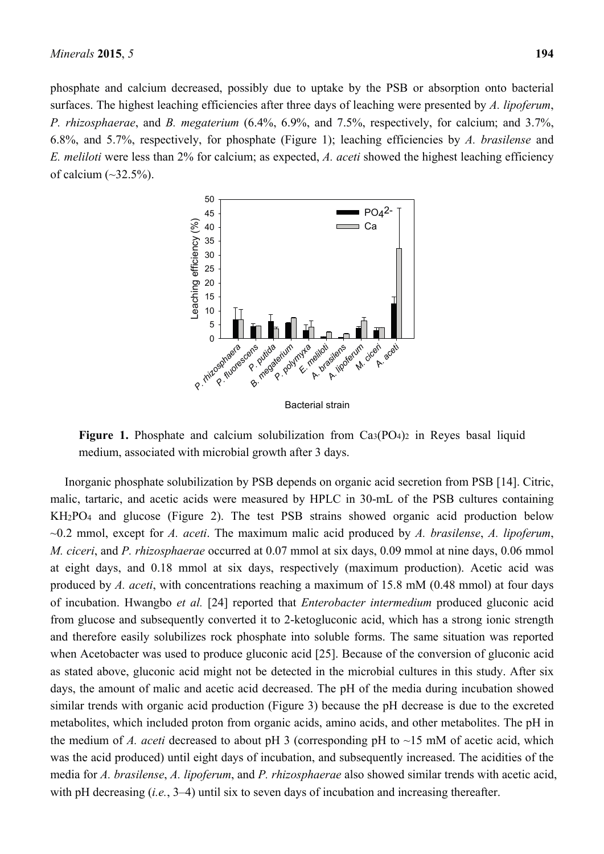phosphate and calcium decreased, possibly due to uptake by the PSB or absorption onto bacterial surfaces. The highest leaching efficiencies after three days of leaching were presented by *A. lipoferum*, *P. rhizosphaerae*, and *B. megaterium* (6.4%, 6.9%, and 7.5%, respectively, for calcium; and 3.7%, 6.8%, and 5.7%, respectively, for phosphate (Figure 1); leaching efficiencies by *A. brasilense* and *E. meliloti* were less than 2% for calcium; as expected, *A. aceti* showed the highest leaching efficiency of calcium  $(\sim]32.5\%$ ).



**Figure 1.** Phosphate and calcium solubilization from Ca<sub>3</sub>(PO<sub>4</sub>)<sub>2</sub> in Reyes basal liquid medium, associated with microbial growth after 3 days.

Inorganic phosphate solubilization by PSB depends on organic acid secretion from PSB [14]. Citric, malic, tartaric, and acetic acids were measured by HPLC in 30-mL of the PSB cultures containing KH2PO4 and glucose (Figure 2). The test PSB strains showed organic acid production below ~0.2 mmol, except for *A. aceti*. The maximum malic acid produced by *A. brasilense*, *A. lipoferum*, *M. ciceri*, and *P. rhizosphaerae* occurred at 0.07 mmol at six days, 0.09 mmol at nine days, 0.06 mmol at eight days, and 0.18 mmol at six days, respectively (maximum production). Acetic acid was produced by *A. aceti*, with concentrations reaching a maximum of 15.8 mM (0.48 mmol) at four days of incubation. Hwangbo *et al.* [24] reported that *Enterobacter intermedium* produced gluconic acid from glucose and subsequently converted it to 2-ketogluconic acid, which has a strong ionic strength and therefore easily solubilizes rock phosphate into soluble forms. The same situation was reported when Acetobacter was used to produce gluconic acid [25]. Because of the conversion of gluconic acid as stated above, gluconic acid might not be detected in the microbial cultures in this study. After six days, the amount of malic and acetic acid decreased. The pH of the media during incubation showed similar trends with organic acid production (Figure 3) because the pH decrease is due to the excreted metabolites, which included proton from organic acids, amino acids, and other metabolites. The pH in the medium of *A. aceti* decreased to about pH 3 (corresponding pH to  $\sim$ 15 mM of acetic acid, which was the acid produced) until eight days of incubation, and subsequently increased. The acidities of the media for *A. brasilense*, *A. lipoferum*, and *P. rhizosphaerae* also showed similar trends with acetic acid, with pH decreasing (*i.e.*, 3–4) until six to seven days of incubation and increasing thereafter.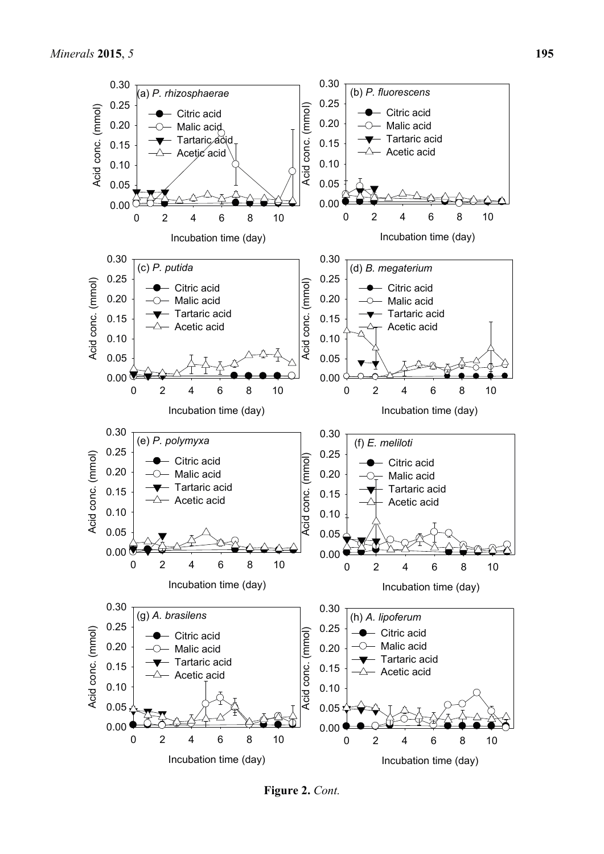

**Figure 2.** *Cont.*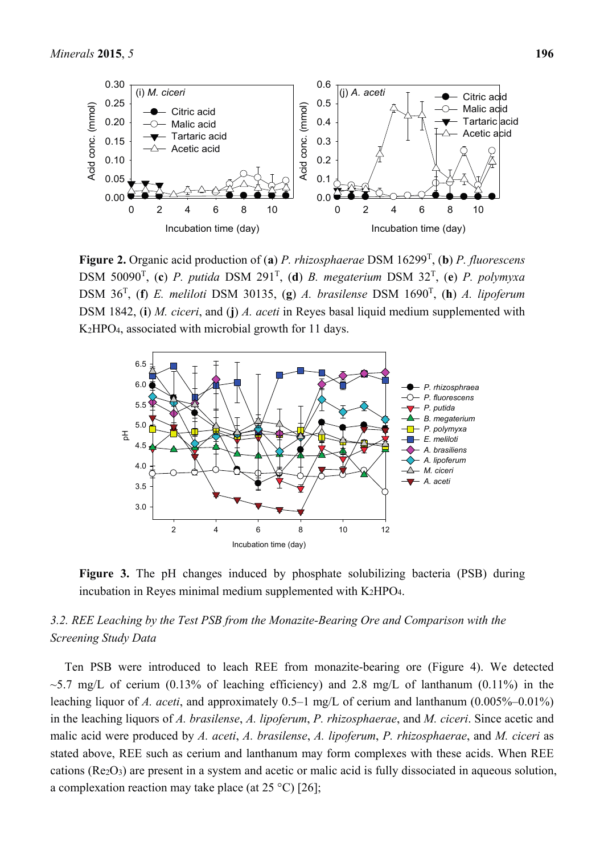

**Figure 2.** Organic acid production of (**a**) *P. rhizosphaerae* DSM 16299T, (**b**) *P. fluorescens* DSM 50090T, (**c**) *P. putida* DSM 291T, (**d**) *B. megaterium* DSM 32T, (**e**) *P. polymyxa* DSM 36T, (**f**) *E. meliloti* DSM 30135, (**g**) *A. brasilense* DSM 1690T, (**h**) *A. lipoferum*  DSM 1842, (**i**) *M. ciceri*, and (**j**) *A. aceti* in Reyes basal liquid medium supplemented with K2HPO4, associated with microbial growth for 11 days.



**Figure 3.** The pH changes induced by phosphate solubilizing bacteria (PSB) during incubation in Reyes minimal medium supplemented with K2HPO4.

# *3.2. REE Leaching by the Test PSB from the Monazite-Bearing Ore and Comparison with the Screening Study Data*

Ten PSB were introduced to leach REE from monazite-bearing ore (Figure 4). We detected  $\sim$ 5.7 mg/L of cerium (0.13% of leaching efficiency) and 2.8 mg/L of lanthanum (0.11%) in the leaching liquor of *A. aceti*, and approximately 0.5–1 mg/L of cerium and lanthanum (0.005%–0.01%) in the leaching liquors of *A. brasilense*, *A. lipoferum*, *P. rhizosphaerae*, and *M. ciceri*. Since acetic and malic acid were produced by *A. aceti*, *A. brasilense*, *A. lipoferum*, *P. rhizosphaerae*, and *M. ciceri* as stated above, REE such as cerium and lanthanum may form complexes with these acids. When REE cations (Re2O3) are present in a system and acetic or malic acid is fully dissociated in aqueous solution, a complexation reaction may take place (at  $25 \degree C$ ) [26];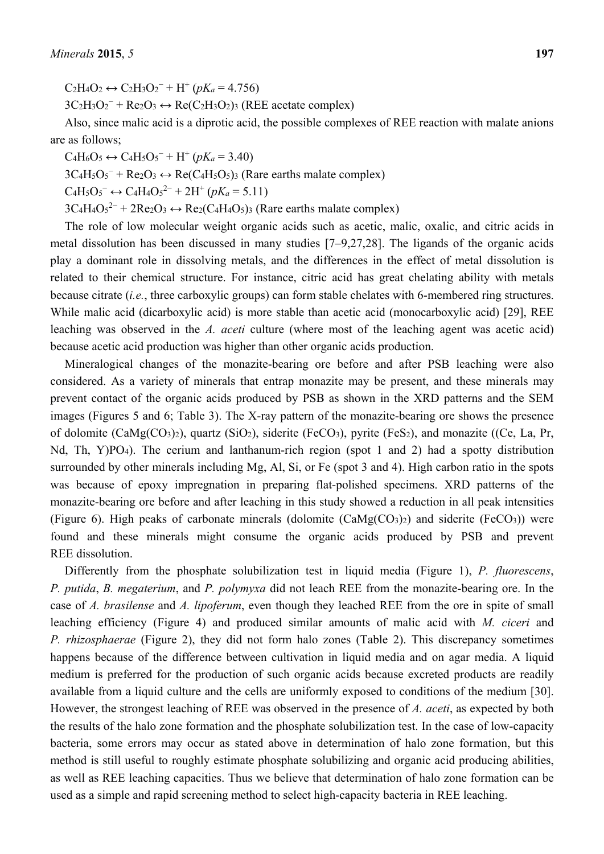$C_2H_4O_2 \leftrightarrow C_2H_3O_2 + H^+(pK_a = 4.756)$ 

 $3C_2H_3O_2^-$  + Re<sub>2</sub>O<sub>3</sub>  $\leftrightarrow$  Re(C<sub>2</sub>H<sub>3</sub>O<sub>2</sub>)<sub>3</sub> (REE acetate complex)

Also, since malic acid is a diprotic acid, the possible complexes of REE reaction with malate anions are as follows;

 $C_4H_6O_5 \leftrightarrow C_4H_5O_5^- + H^+(pK_a = 3.40)$  $3C_4H_5O_5^-$  + Re2 $O_3 \leftrightarrow$  Re(C<sub>4</sub>H<sub>5</sub>O<sub>5</sub>)<sub>3</sub> (Rare earths malate complex)  $C_4H_5O_5^- \leftrightarrow C_4H_4O_5^{2-} + 2H^+(pK_a = 5.11)$  $3C_4H_4O_5^{2-}$  +  $2Re_2O_3 \leftrightarrow Re_2(C_4H_4O_5)$  (Rare earths malate complex)

The role of low molecular weight organic acids such as acetic, malic, oxalic, and citric acids in metal dissolution has been discussed in many studies [7–9,27,28]. The ligands of the organic acids play a dominant role in dissolving metals, and the differences in the effect of metal dissolution is related to their chemical structure. For instance, citric acid has great chelating ability with metals because citrate (*i.e.*, three carboxylic groups) can form stable chelates with 6-membered ring structures. While malic acid (dicarboxylic acid) is more stable than acetic acid (monocarboxylic acid) [29], REE leaching was observed in the *A. aceti* culture (where most of the leaching agent was acetic acid) because acetic acid production was higher than other organic acids production.

Mineralogical changes of the monazite-bearing ore before and after PSB leaching were also considered. As a variety of minerals that entrap monazite may be present, and these minerals may prevent contact of the organic acids produced by PSB as shown in the XRD patterns and the SEM images (Figures 5 and 6; Table 3). The X-ray pattern of the monazite-bearing ore shows the presence of dolomite (CaMg(CO3)2), quartz (SiO2), siderite (FeCO3), pyrite (FeS2), and monazite ((Ce, La, Pr, Nd, Th, Y)PO<sub>4</sub>). The cerium and lanthanum-rich region (spot 1 and 2) had a spotty distribution surrounded by other minerals including Mg, Al, Si, or Fe (spot 3 and 4). High carbon ratio in the spots was because of epoxy impregnation in preparing flat-polished specimens. XRD patterns of the monazite-bearing ore before and after leaching in this study showed a reduction in all peak intensities (Figure 6). High peaks of carbonate minerals (dolomite  $(CaMg(CO<sub>3</sub>)<sub>2</sub>)$  and siderite (FeCO<sub>3</sub>)) were found and these minerals might consume the organic acids produced by PSB and prevent REE dissolution.

Differently from the phosphate solubilization test in liquid media (Figure 1), *P. fluorescens*, *P. putida*, *B. megaterium*, and *P. polymyxa* did not leach REE from the monazite-bearing ore. In the case of *A. brasilense* and *A. lipoferum*, even though they leached REE from the ore in spite of small leaching efficiency (Figure 4) and produced similar amounts of malic acid with *M. ciceri* and *P. rhizosphaerae* (Figure 2), they did not form halo zones (Table 2). This discrepancy sometimes happens because of the difference between cultivation in liquid media and on agar media. A liquid medium is preferred for the production of such organic acids because excreted products are readily available from a liquid culture and the cells are uniformly exposed to conditions of the medium [30]. However, the strongest leaching of REE was observed in the presence of *A. aceti*, as expected by both the results of the halo zone formation and the phosphate solubilization test. In the case of low-capacity bacteria, some errors may occur as stated above in determination of halo zone formation, but this method is still useful to roughly estimate phosphate solubilizing and organic acid producing abilities, as well as REE leaching capacities. Thus we believe that determination of halo zone formation can be used as a simple and rapid screening method to select high-capacity bacteria in REE leaching.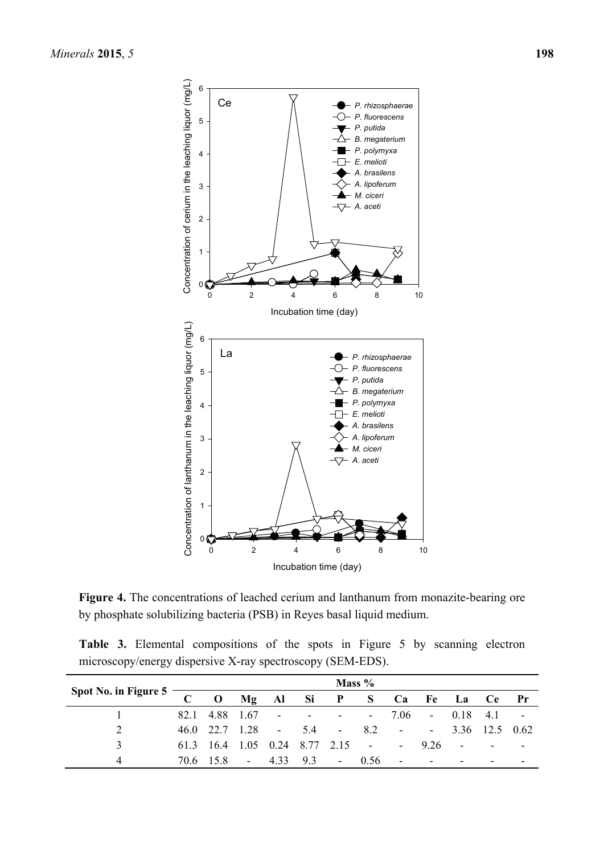

**Figure 4.** The concentrations of leached cerium and lanthanum from monazite-bearing ore by phosphate solubilizing bacteria (PSB) in Reyes basal liquid medium.

|  | <b>Table 3.</b> Elemental compositions of the spots in Figure 5 by scanning electron |  |  |  |  |  |
|--|--------------------------------------------------------------------------------------|--|--|--|--|--|
|  | microscopy/energy dispersive X-ray spectroscopy (SEM-EDS).                           |  |  |  |  |  |

|                      | Mass %      |             |        |                          |                |                          |                |                          |                          |                          |                          |                          |
|----------------------|-------------|-------------|--------|--------------------------|----------------|--------------------------|----------------|--------------------------|--------------------------|--------------------------|--------------------------|--------------------------|
| Spot No. in Figure 5 | $\mathbf C$ | $\mathbf 0$ | Mg     | Al                       | Si             | P                        | S              | Ca                       | Fe                       | La                       | Ce                       | Pr                       |
|                      | 82.1        | 4.88        | 1.67   | $\overline{\phantom{a}}$ | $\blacksquare$ | $\overline{\phantom{a}}$ | $\sim$         | 7.06                     | $\overline{\phantom{a}}$ | 0.18                     | 4.1                      | $\overline{\phantom{a}}$ |
| 2                    | 46 O        | 22.7        | 1.28   | $\sim 100$               | 5.4            | $\sim 100$               | 8.2            | $\overline{\phantom{a}}$ | $\sim$                   | 3.36                     | 12.5                     | 0.62                     |
| 3                    | 613         | 164         | 1.05   | 0.24                     | 8.77           | 2.15                     | $\blacksquare$ | $\sim 100$               | 9.26                     | $\overline{\phantom{a}}$ | $\overline{\phantom{a}}$ | ٠                        |
| 4                    | 70.6        | 15 X        | $\sim$ | 4.33                     | 9.3            | $\overline{\phantom{a}}$ | 0.56           | ٠                        | ۰                        | $\overline{\phantom{0}}$ | -                        | ۰                        |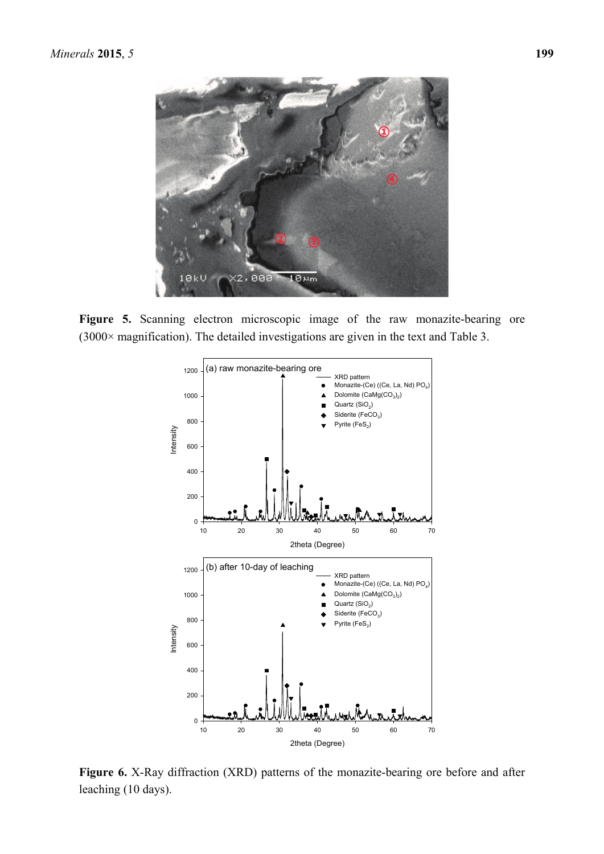

Figure 5. Scanning electron microscopic image of the raw monazite-bearing ore (3000× magnification). The detailed investigations are given in the text and Table 3.



**Figure 6.** X-Ray diffraction (XRD) patterns of the monazite-bearing ore before and after leaching (10 days).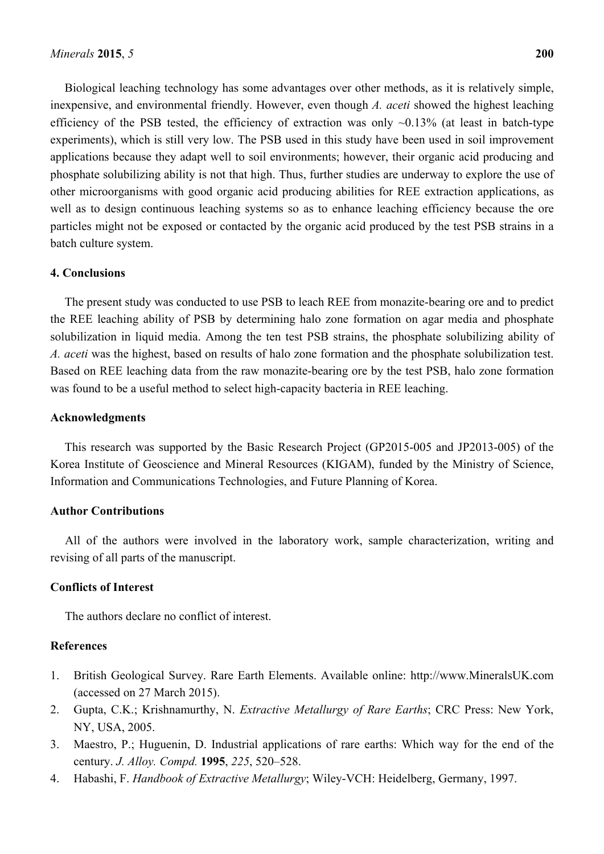Biological leaching technology has some advantages over other methods, as it is relatively simple, inexpensive, and environmental friendly. However, even though *A. aceti* showed the highest leaching efficiency of the PSB tested, the efficiency of extraction was only  $\sim 0.13\%$  (at least in batch-type experiments), which is still very low. The PSB used in this study have been used in soil improvement applications because they adapt well to soil environments; however, their organic acid producing and phosphate solubilizing ability is not that high. Thus, further studies are underway to explore the use of other microorganisms with good organic acid producing abilities for REE extraction applications, as well as to design continuous leaching systems so as to enhance leaching efficiency because the ore particles might not be exposed or contacted by the organic acid produced by the test PSB strains in a batch culture system.

## **4. Conclusions**

The present study was conducted to use PSB to leach REE from monazite-bearing ore and to predict the REE leaching ability of PSB by determining halo zone formation on agar media and phosphate solubilization in liquid media. Among the ten test PSB strains, the phosphate solubilizing ability of *A. aceti* was the highest, based on results of halo zone formation and the phosphate solubilization test. Based on REE leaching data from the raw monazite-bearing ore by the test PSB, halo zone formation was found to be a useful method to select high-capacity bacteria in REE leaching.

#### **Acknowledgments**

This research was supported by the Basic Research Project (GP2015-005 and JP2013-005) of the Korea Institute of Geoscience and Mineral Resources (KIGAM), funded by the Ministry of Science, Information and Communications Technologies, and Future Planning of Korea.

#### **Author Contributions**

All of the authors were involved in the laboratory work, sample characterization, writing and revising of all parts of the manuscript.

#### **Conflicts of Interest**

The authors declare no conflict of interest.

#### **References**

- 1. British Geological Survey. Rare Earth Elements. Available online: http://www.MineralsUK.com (accessed on 27 March 2015).
- 2. Gupta, C.K.; Krishnamurthy, N. *Extractive Metallurgy of Rare Earths*; CRC Press: New York, NY, USA, 2005.
- 3. Maestro, P.; Huguenin, D. Industrial applications of rare earths: Which way for the end of the century. *J. Alloy. Compd.* **1995**, *225*, 520–528.
- 4. Habashi, F. *Handbook of Extractive Metallurgy*; Wiley-VCH: Heidelberg, Germany, 1997.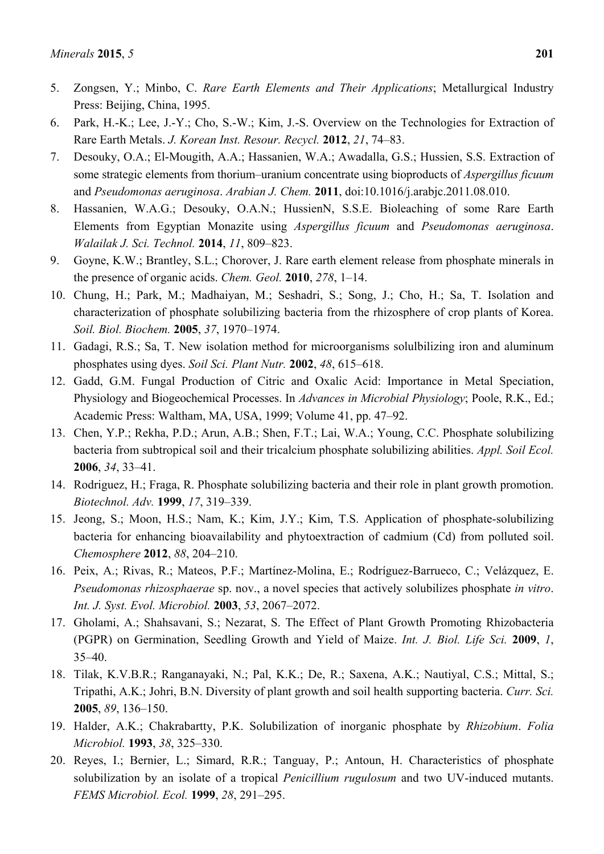- 5. Zongsen, Y.; Minbo, C. *Rare Earth Elements and Their Applications*; Metallurgical Industry Press: Beijing, China, 1995.
- 6. Park, H.-K.; Lee, J.-Y.; Cho, S.-W.; Kim, J.-S. Overview on the Technologies for Extraction of Rare Earth Metals. *J. Korean Inst. Resour. Recycl.* **2012**, *21*, 74–83.
- 7. Desouky, O.A.; El-Mougith, A.A.; Hassanien, W.A.; Awadalla, G.S.; Hussien, S.S. Extraction of some strategic elements from thorium–uranium concentrate using bioproducts of *Aspergillus ficuum* and *Pseudomonas aeruginosa*. *Arabian J. Chem.* **2011**, doi:10.1016/j.arabjc.2011.08.010.
- 8. Hassanien, W.A.G.; Desouky, O.A.N.; HussienN, S.S.E. Bioleaching of some Rare Earth Elements from Egyptian Monazite using *Aspergillus ficuum* and *Pseudomonas aeruginosa*. *Walailak J. Sci. Technol.* **2014**, *11*, 809–823.
- 9. Goyne, K.W.; Brantley, S.L.; Chorover, J. Rare earth element release from phosphate minerals in the presence of organic acids. *Chem. Geol.* **2010**, *278*, 1–14.
- 10. Chung, H.; Park, M.; Madhaiyan, M.; Seshadri, S.; Song, J.; Cho, H.; Sa, T. Isolation and characterization of phosphate solubilizing bacteria from the rhizosphere of crop plants of Korea. *Soil. Biol. Biochem.* **2005**, *37*, 1970–1974.
- 11. Gadagi, R.S.; Sa, T. New isolation method for microorganisms solulbilizing iron and aluminum phosphates using dyes. *Soil Sci. Plant Nutr.* **2002**, *48*, 615–618.
- 12. Gadd, G.M. Fungal Production of Citric and Oxalic Acid: Importance in Metal Speciation, Physiology and Biogeochemical Processes. In *Advances in Microbial Physiology*; Poole, R.K., Ed.; Academic Press: Waltham, MA, USA, 1999; Volume 41, pp. 47–92.
- 13. Chen, Y.P.; Rekha, P.D.; Arun, A.B.; Shen, F.T.; Lai, W.A.; Young, C.C. Phosphate solubilizing bacteria from subtropical soil and their tricalcium phosphate solubilizing abilities. *Appl. Soil Ecol.*  **2006**, *34*, 33–41.
- 14. Rodriguez, H.; Fraga, R. Phosphate solubilizing bacteria and their role in plant growth promotion. *Biotechnol. Adv.* **1999**, *17*, 319–339.
- 15. Jeong, S.; Moon, H.S.; Nam, K.; Kim, J.Y.; Kim, T.S. Application of phosphate-solubilizing bacteria for enhancing bioavailability and phytoextraction of cadmium (Cd) from polluted soil. *Chemosphere* **2012**, *88*, 204–210.
- 16. Peix, A.; Rivas, R.; Mateos, P.F.; Martínez-Molina, E.; Rodríguez-Barrueco, C.; Velázquez, E. *Pseudomonas rhizosphaerae* sp. nov., a novel species that actively solubilizes phosphate *in vitro*. *Int. J. Syst. Evol. Microbiol.* **2003**, *53*, 2067–2072.
- 17. Gholami, A.; Shahsavani, S.; Nezarat, S. The Effect of Plant Growth Promoting Rhizobacteria (PGPR) on Germination, Seedling Growth and Yield of Maize. *Int. J. Biol. Life Sci.* **2009**, *1*, 35–40.
- 18. Tilak, K.V.B.R.; Ranganayaki, N.; Pal, K.K.; De, R.; Saxena, A.K.; Nautiyal, C.S.; Mittal, S.; Tripathi, A.K.; Johri, B.N. Diversity of plant growth and soil health supporting bacteria. *Curr. Sci.*  **2005**, *89*, 136–150.
- 19. Halder, A.K.; Chakrabartty, P.K. Solubilization of inorganic phosphate by *Rhizobium*. *Folia Microbiol.* **1993**, *38*, 325–330.
- 20. Reyes, I.; Bernier, L.; Simard, R.R.; Tanguay, P.; Antoun, H. Characteristics of phosphate solubilization by an isolate of a tropical *Penicillium rugulosum* and two UV-induced mutants. *FEMS Microbiol. Ecol.* **1999**, *28*, 291–295.